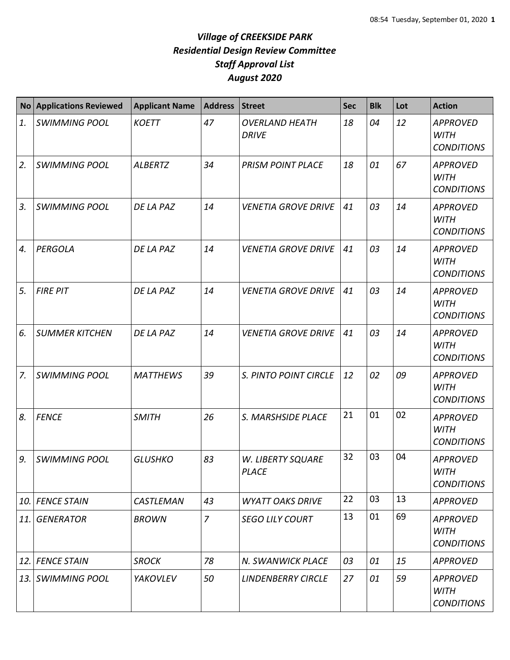| <b>No</b> | <b>Applications Reviewed</b> | <b>Applicant Name</b> | <b>Address</b> | <b>Street</b>                         | <b>Sec</b> | <b>Blk</b> | Lot | <b>Action</b>                                       |
|-----------|------------------------------|-----------------------|----------------|---------------------------------------|------------|------------|-----|-----------------------------------------------------|
| 1.        | <b>SWIMMING POOL</b>         | <b>KOETT</b>          | 47             | <b>OVERLAND HEATH</b><br><b>DRIVE</b> | 18         | 04         | 12  | <b>APPROVED</b><br><b>WITH</b><br><b>CONDITIONS</b> |
| 2.        | <b>SWIMMING POOL</b>         | <b>ALBERTZ</b>        | 34             | <b>PRISM POINT PLACE</b>              | 18         | 01         | 67  | <b>APPROVED</b><br><b>WITH</b><br><b>CONDITIONS</b> |
| 3.        | <b>SWIMMING POOL</b>         | DE LA PAZ             | 14             | <b>VENETIA GROVE DRIVE</b>            | 41         | 03         | 14  | <b>APPROVED</b><br><b>WITH</b><br><b>CONDITIONS</b> |
| 4.        | <b>PERGOLA</b>               | DE LA PAZ             | 14             | <b>VENETIA GROVE DRIVE</b>            | 41         | 03         | 14  | <b>APPROVED</b><br><b>WITH</b><br><b>CONDITIONS</b> |
| 5.        | <b>FIRE PIT</b>              | DE LA PAZ             | 14             | <b>VENETIA GROVE DRIVE</b>            | 41         | 03         | 14  | <b>APPROVED</b><br><b>WITH</b><br><b>CONDITIONS</b> |
| 6.        | <b>SUMMER KITCHEN</b>        | DE LA PAZ             | 14             | <b>VENETIA GROVE DRIVE</b>            | 41         | 03         | 14  | <b>APPROVED</b><br><b>WITH</b><br><b>CONDITIONS</b> |
| 7.        | <b>SWIMMING POOL</b>         | <b>MATTHEWS</b>       | 39             | S. PINTO POINT CIRCLE                 | 12         | 02         | 09  | <b>APPROVED</b><br><b>WITH</b><br><b>CONDITIONS</b> |
| 8.        | <b>FENCE</b>                 | <b>SMITH</b>          | 26             | S. MARSHSIDE PLACE                    | 21         | 01         | 02  | <b>APPROVED</b><br><b>WITH</b><br><b>CONDITIONS</b> |
| 9.        | <b>SWIMMING POOL</b>         | <b>GLUSHKO</b>        | 83             | W. LIBERTY SQUARE<br><b>PLACE</b>     | 32         | 03         | 04  | <b>APPROVED</b><br><b>WITH</b><br><b>CONDITIONS</b> |
| 10.       | <b>FENCE STAIN</b>           | <b>CASTLEMAN</b>      | 43             | <b>WYATT OAKS DRIVE</b>               | 22         | 03         | 13  | <b>APPROVED</b>                                     |
| 11.       | <b>GENERATOR</b>             | <b>BROWN</b>          | $\overline{7}$ | <b>SEGO LILY COURT</b>                | 13         | 01         | 69  | <b>APPROVED</b><br><b>WITH</b><br><b>CONDITIONS</b> |
| 12.       | <b>FENCE STAIN</b>           | <b>SROCK</b>          | 78             | N. SWANWICK PLACE                     | 03         | 01         | 15  | <b>APPROVED</b>                                     |
| 13.       | <b>SWIMMING POOL</b>         | YAKOVLEV              | 50             | <b>LINDENBERRY CIRCLE</b>             | 27         | 01         | 59  | <b>APPROVED</b><br><b>WITH</b><br><b>CONDITIONS</b> |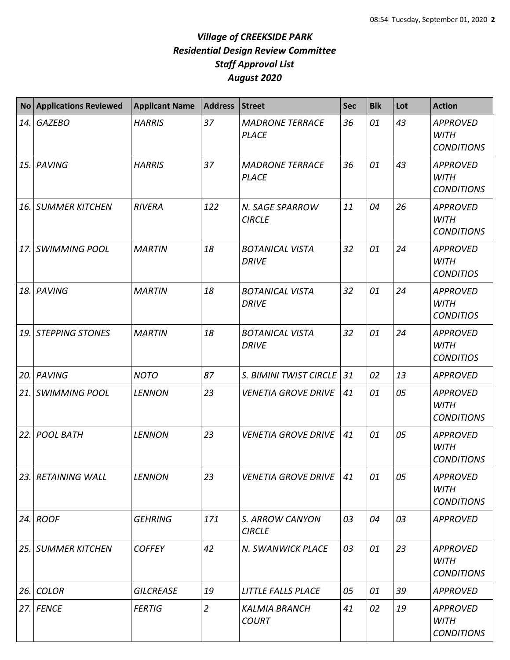|      | No Applications Reviewed | <b>Applicant Name</b> | <b>Address</b> | Street                                 | <b>Sec</b> | <b>Blk</b> | Lot | <b>Action</b>                                       |
|------|--------------------------|-----------------------|----------------|----------------------------------------|------------|------------|-----|-----------------------------------------------------|
| 14.  | <b>GAZEBO</b>            | <b>HARRIS</b>         | 37             | <b>MADRONE TERRACE</b><br><b>PLACE</b> | 36         | 01         | 43  | <b>APPROVED</b><br><b>WITH</b><br><b>CONDITIONS</b> |
|      | 15. PAVING               | <b>HARRIS</b>         | 37             | <b>MADRONE TERRACE</b><br><b>PLACE</b> | 36         | 01         | 43  | <b>APPROVED</b><br><b>WITH</b><br><b>CONDITIONS</b> |
| 16.  | <b>SUMMER KITCHEN</b>    | <b>RIVERA</b>         | 122            | N. SAGE SPARROW<br><b>CIRCLE</b>       | 11         | 04         | 26  | <b>APPROVED</b><br><b>WITH</b><br><b>CONDITIONS</b> |
| 17.  | <b>SWIMMING POOL</b>     | <b>MARTIN</b>         | 18             | <b>BOTANICAL VISTA</b><br><b>DRIVE</b> | 32         | 01         | 24  | <b>APPROVED</b><br><b>WITH</b><br><b>CONDITIOS</b>  |
|      | 18. PAVING               | <b>MARTIN</b>         | 18             | <b>BOTANICAL VISTA</b><br><b>DRIVE</b> | 32         | 01         | 24  | <b>APPROVED</b><br><b>WITH</b><br><b>CONDITIOS</b>  |
|      | 19. STEPPING STONES      | <b>MARTIN</b>         | 18             | <b>BOTANICAL VISTA</b><br><b>DRIVE</b> | 32         | 01         | 24  | <b>APPROVED</b><br><b>WITH</b><br><b>CONDITIOS</b>  |
|      | 20. PAVING               | <b>NOTO</b>           | 87             | S. BIMINI TWIST CIRCLE                 | 31         | 02         | 13  | <b>APPROVED</b>                                     |
| 21.  | SWIMMING POOL            | <b>LENNON</b>         | 23             | <b>VENETIA GROVE DRIVE</b>             | 41         | 01         | 05  | <b>APPROVED</b><br><b>WITH</b><br><b>CONDITIONS</b> |
| 22.1 | <b>POOL BATH</b>         | <b>LENNON</b>         | 23             | <b>VENETIA GROVE DRIVE</b>             | 41         | 01         | 05  | <b>APPROVED</b><br><b>WITH</b><br><b>CONDITIONS</b> |
|      | 23. RETAINING WALL       | <b>LENNON</b>         | 23             | <b>VENETIA GROVE DRIVE</b>             | 41         | 01         | 05  | <b>APPROVED</b><br><b>WITH</b><br><b>CONDITIONS</b> |
|      | 24. $ROOF$               | <b>GEHRING</b>        | 171            | S. ARROW CANYON<br><b>CIRCLE</b>       | 03         | 04         | 03  | <b>APPROVED</b>                                     |
|      | 25. SUMMER KITCHEN       | <b>COFFEY</b>         | 42             | N. SWANWICK PLACE                      | 03         | 01         | 23  | <b>APPROVED</b><br><b>WITH</b><br><b>CONDITIONS</b> |
|      | 26. COLOR                | <b>GILCREASE</b>      | 19             | LITTLE FALLS PLACE                     | 05         | 01         | 39  | <b>APPROVED</b>                                     |
|      | 27. FENCE                | <b>FERTIG</b>         | $\overline{2}$ | <b>KALMIA BRANCH</b><br><b>COURT</b>   | 41         | 02         | 19  | <b>APPROVED</b><br><b>WITH</b><br><b>CONDITIONS</b> |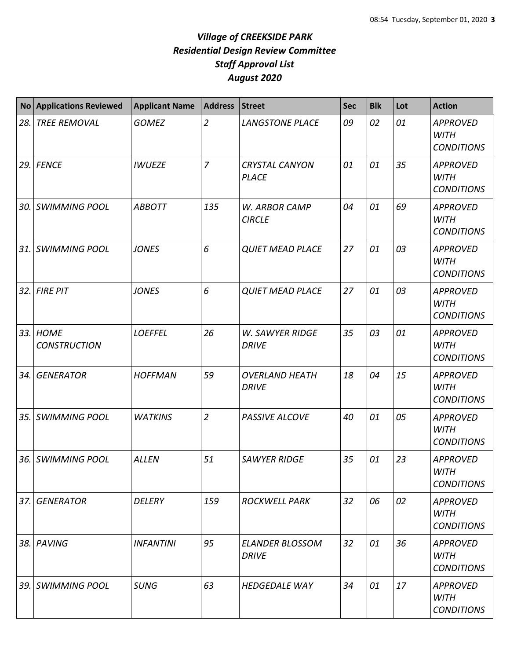| <b>No</b> | <b>Applications Reviewed</b>    | <b>Applicant Name</b> | <b>Address</b> | Street                                 | <b>Sec</b> | <b>Blk</b> | Lot | <b>Action</b>                                       |
|-----------|---------------------------------|-----------------------|----------------|----------------------------------------|------------|------------|-----|-----------------------------------------------------|
| 28.       | <b>TREE REMOVAL</b>             | <b>GOMEZ</b>          | $\overline{2}$ | <b>LANGSTONE PLACE</b>                 | 09         | 02         | 01  | <b>APPROVED</b><br><b>WITH</b><br><b>CONDITIONS</b> |
|           | <b>29. FENCE</b>                | <b>IWUEZE</b>         | $\overline{z}$ | <b>CRYSTAL CANYON</b><br><b>PLACE</b>  | 01         | 01         | 35  | <b>APPROVED</b><br><b>WITH</b><br><b>CONDITIONS</b> |
|           | 30. SWIMMING POOL               | <b>ABBOTT</b>         | 135            | W. ARBOR CAMP<br><b>CIRCLE</b>         | 04         | 01         | 69  | <b>APPROVED</b><br><b>WITH</b><br><b>CONDITIONS</b> |
| 31.1      | <b>SWIMMING POOL</b>            | <b>JONES</b>          | 6              | <b>QUIET MEAD PLACE</b>                | 27         | 01         | 03  | <b>APPROVED</b><br><b>WITH</b><br><b>CONDITIONS</b> |
|           | 32. FIRE PIT                    | <b>JONES</b>          | 6              | <b>QUIET MEAD PLACE</b>                | 27         | 01         | 03  | <b>APPROVED</b><br><b>WITH</b><br><b>CONDITIONS</b> |
|           | 33. HOME<br><b>CONSTRUCTION</b> | <b>LOEFFEL</b>        | 26             | <b>W. SAWYER RIDGE</b><br><b>DRIVE</b> | 35         | 03         | 01  | <b>APPROVED</b><br><b>WITH</b><br><b>CONDITIONS</b> |
| 34. l     | <b>GENERATOR</b>                | <b>HOFFMAN</b>        | 59             | <b>OVERLAND HEATH</b><br><b>DRIVE</b>  | 18         | 04         | 15  | <b>APPROVED</b><br><b>WITH</b><br><b>CONDITIONS</b> |
| 35.       | <b>SWIMMING POOL</b>            | <b>WATKINS</b>        | $\overline{2}$ | PASSIVE ALCOVE                         | 40         | 01         | 05  | <b>APPROVED</b><br><b>WITH</b><br><b>CONDITIONS</b> |
|           | 36. SWIMMING POOL               | <b>ALLEN</b>          | 51             | <b>SAWYER RIDGE</b>                    | 35         | 01         | 23  | <b>APPROVED</b><br>WITH<br><b>CONDITIONS</b>        |
|           | 37. GENERATOR                   | <b>DELERY</b>         | 159            | <b>ROCKWELL PARK</b>                   | 32         | 06         | 02  | <b>APPROVED</b><br>WITH<br><b>CONDITIONS</b>        |
|           | 38. PAVING                      | <b>INFANTINI</b>      | 95             | <b>ELANDER BLOSSOM</b><br><b>DRIVE</b> | 32         | 01         | 36  | <b>APPROVED</b><br><b>WITH</b><br><b>CONDITIONS</b> |
|           | 39. SWIMMING POOL               | <b>SUNG</b>           | 63             | <b>HEDGEDALE WAY</b>                   | 34         | 01         | 17  | <b>APPROVED</b><br><b>WITH</b><br><b>CONDITIONS</b> |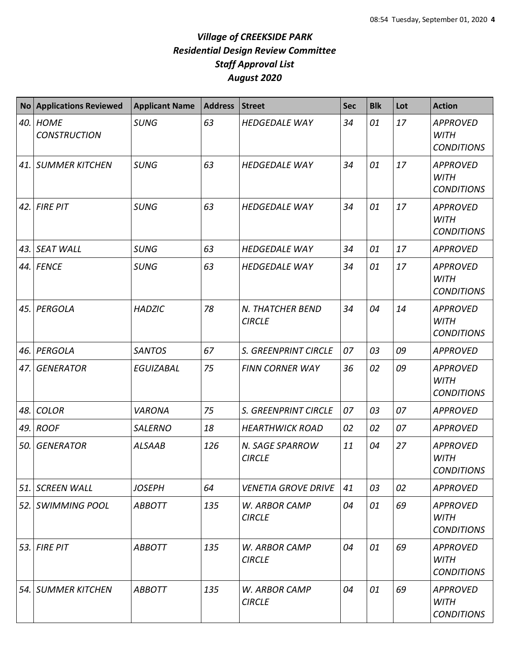| <b>No</b> | <b>Applications Reviewed</b>       | <b>Applicant Name</b> | <b>Address</b> | Street                            | <b>Sec</b> | <b>Blk</b> | Lot | <b>Action</b>                                       |
|-----------|------------------------------------|-----------------------|----------------|-----------------------------------|------------|------------|-----|-----------------------------------------------------|
| 40.       | <b>HOME</b><br><b>CONSTRUCTION</b> | <b>SUNG</b>           | 63             | <b>HEDGEDALE WAY</b>              | 34         | 01         | 17  | <b>APPROVED</b><br><b>WITH</b><br><b>CONDITIONS</b> |
| 41.       | <b>SUMMER KITCHEN</b>              | <b>SUNG</b>           | 63             | <b>HEDGEDALE WAY</b>              | 34         | 01         | 17  | <b>APPROVED</b><br><b>WITH</b><br><b>CONDITIONS</b> |
| 42.       | <b>FIRE PIT</b>                    | <b>SUNG</b>           | 63             | <b>HEDGEDALE WAY</b>              | 34         | 01         | 17  | <b>APPROVED</b><br><b>WITH</b><br><b>CONDITIONS</b> |
| 43.       | <b>SEAT WALL</b>                   | <b>SUNG</b>           | 63             | <b>HEDGEDALE WAY</b>              | 34         | 01         | 17  | <b>APPROVED</b>                                     |
| 44.       | <b>FENCE</b>                       | <b>SUNG</b>           | 63             | <b>HEDGEDALE WAY</b>              | 34         | 01         | 17  | <b>APPROVED</b><br><b>WITH</b><br><b>CONDITIONS</b> |
| 45.       | PERGOLA                            | <b>HADZIC</b>         | 78             | N. THATCHER BEND<br><b>CIRCLE</b> | 34         | 04         | 14  | <b>APPROVED</b><br><b>WITH</b><br><b>CONDITIONS</b> |
| 46.       | PERGOLA                            | <b>SANTOS</b>         | 67             | S. GREENPRINT CIRCLE              | 07         | 03         | 09  | <b>APPROVED</b>                                     |
| 47.       | <b>GENERATOR</b>                   | <b>EGUIZABAL</b>      | 75             | <b>FINN CORNER WAY</b>            | 36         | 02         | 09  | <b>APPROVED</b><br><b>WITH</b><br><b>CONDITIONS</b> |
| 48.       | <b>COLOR</b>                       | <b>VARONA</b>         | 75             | <b>S. GREENPRINT CIRCLE</b>       | 07         | 03         | 07  | <b>APPROVED</b>                                     |
| 49.       | <b>ROOF</b>                        | <b>SALERNO</b>        | 18             | <b>HEARTHWICK ROAD</b>            | 02         | 02         | 07  | <b>APPROVED</b>                                     |
| 50.       | <b>GENERATOR</b>                   | <b>ALSAAB</b>         | 126            | N. SAGE SPARROW<br><b>CIRCLE</b>  | 11         | 04         | 27  | <b>APPROVED</b><br><b>WITH</b><br><b>CONDITIONS</b> |
| 51.       | SCREEN WALL                        | <b>JOSEPH</b>         | 64             | <b>VENETIA GROVE DRIVE</b>        | 41         | 03         | 02  | <b>APPROVED</b>                                     |
| 52.       | SWIMMING POOL                      | <b>ABBOTT</b>         | 135            | W. ARBOR CAMP<br><b>CIRCLE</b>    | 04         | 01         | 69  | <b>APPROVED</b><br>WITH<br><b>CONDITIONS</b>        |
| 53.       | <b>FIRE PIT</b>                    | <b>ABBOTT</b>         | 135            | W. ARBOR CAMP<br><b>CIRCLE</b>    | 04         | 01         | 69  | <b>APPROVED</b><br><b>WITH</b><br><b>CONDITIONS</b> |
| 54.       | SUMMER KITCHEN                     | <b>ABBOTT</b>         | 135            | W. ARBOR CAMP<br><b>CIRCLE</b>    | 04         | 01         | 69  | <b>APPROVED</b><br><b>WITH</b><br><b>CONDITIONS</b> |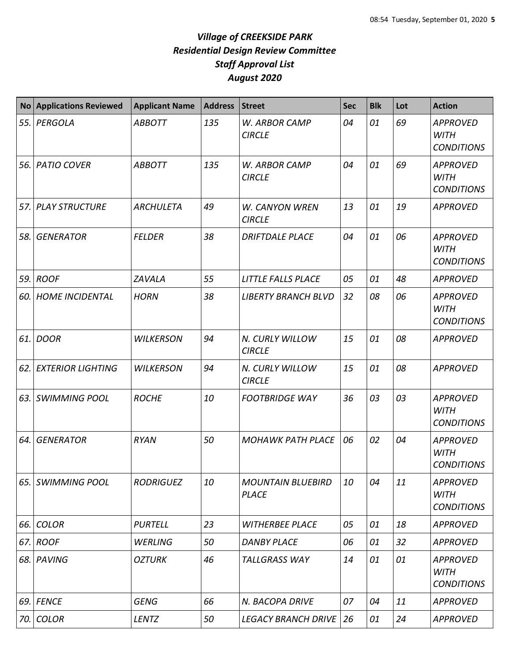| <b>No</b> | <b>Applications Reviewed</b> | <b>Applicant Name</b> | <b>Address</b> | <b>Street</b>                            | <b>Sec</b> | <b>Blk</b> | Lot | <b>Action</b>                                       |
|-----------|------------------------------|-----------------------|----------------|------------------------------------------|------------|------------|-----|-----------------------------------------------------|
| 55.       | PERGOLA                      | <b>ABBOTT</b>         | 135            | W. ARBOR CAMP<br><b>CIRCLE</b>           | 04         | 01         | 69  | <b>APPROVED</b><br><b>WITH</b><br><b>CONDITIONS</b> |
| 56.       | <b>PATIO COVER</b>           | <b>ABBOTT</b>         | 135            | W. ARBOR CAMP<br><b>CIRCLE</b>           | 04         | 01         | 69  | <b>APPROVED</b><br><b>WITH</b><br><b>CONDITIONS</b> |
| 57.       | <b>PLAY STRUCTURE</b>        | <b>ARCHULETA</b>      | 49             | <b>W. CANYON WREN</b><br><b>CIRCLE</b>   | 13         | 01         | 19  | <b>APPROVED</b>                                     |
| 58.       | <b>GENERATOR</b>             | <b>FELDER</b>         | 38             | <b>DRIFTDALE PLACE</b>                   | 04         | 01         | 06  | <b>APPROVED</b><br><b>WITH</b><br><b>CONDITIONS</b> |
| 59.       | <b>ROOF</b>                  | ZAVALA                | 55             | LITTLE FALLS PLACE                       | 05         | 01         | 48  | <b>APPROVED</b>                                     |
| 60.       | <b>HOME INCIDENTAL</b>       | <b>HORN</b>           | 38             | <b>LIBERTY BRANCH BLVD</b>               | 32         | 08         | 06  | <b>APPROVED</b><br><b>WITH</b><br><b>CONDITIONS</b> |
| 61.       | <b>DOOR</b>                  | <b>WILKERSON</b>      | 94             | N. CURLY WILLOW<br><b>CIRCLE</b>         | 15         | 01         | 08  | <b>APPROVED</b>                                     |
| 62.       | <b>EXTERIOR LIGHTING</b>     | <b>WILKERSON</b>      | 94             | N. CURLY WILLOW<br><b>CIRCLE</b>         | 15         | 01         | 08  | <b>APPROVED</b>                                     |
| 63.       | <b>SWIMMING POOL</b>         | <b>ROCHE</b>          | 10             | <b>FOOTBRIDGE WAY</b>                    | 36         | 03         | 03  | <b>APPROVED</b><br><b>WITH</b><br><b>CONDITIONS</b> |
| 64.       | <b>GENERATOR</b>             | <b>RYAN</b>           | 50             | <b>MOHAWK PATH PLACE</b>                 | 06         | 02         | 04  | <b>APPROVED</b><br><b>WITH</b><br><b>CONDITIONS</b> |
| 65.       | <b>SWIMMING POOL</b>         | <b>RODRIGUEZ</b>      | 10             | <b>MOUNTAIN BLUEBIRD</b><br><b>PLACE</b> | 10         | 04         | 11  | <b>APPROVED</b><br><b>WITH</b><br><b>CONDITIONS</b> |
| 66.       | <b>COLOR</b>                 | <b>PURTELL</b>        | 23             | <b>WITHERBEE PLACE</b>                   | 05         | 01         | 18  | <b>APPROVED</b>                                     |
| 67.       | <b>ROOF</b>                  | <b>WERLING</b>        | 50             | <b>DANBY PLACE</b>                       | 06         | 01         | 32  | <b>APPROVED</b>                                     |
| 68. l     | PAVING                       | <b>OZTURK</b>         | 46             | <b>TALLGRASS WAY</b>                     | 14         | 01         | 01  | <b>APPROVED</b><br><b>WITH</b><br><b>CONDITIONS</b> |
| 69.       | <b>FENCE</b>                 | <b>GENG</b>           | 66             | N. BACOPA DRIVE                          | 07         | 04         | 11  | <b>APPROVED</b>                                     |
| 70.       | <b>COLOR</b>                 | LENTZ                 | 50             | <b>LEGACY BRANCH DRIVE</b>               | 26         | 01         | 24  | <b>APPROVED</b>                                     |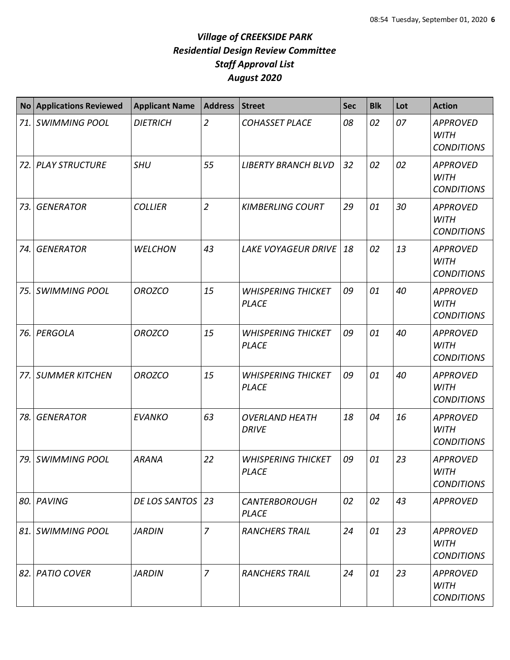|       | No Applications Reviewed | <b>Applicant Name</b> | <b>Address</b> | Street                                    | <b>Sec</b> | <b>Blk</b> | Lot | <b>Action</b>                                       |
|-------|--------------------------|-----------------------|----------------|-------------------------------------------|------------|------------|-----|-----------------------------------------------------|
|       | 71. SWIMMING POOL        | <b>DIETRICH</b>       | $\overline{2}$ | <b>COHASSET PLACE</b>                     | 08         | 02         | 07  | <b>APPROVED</b><br><b>WITH</b><br><b>CONDITIONS</b> |
|       | 72. PLAY STRUCTURE       | <b>SHU</b>            | 55             | <b>LIBERTY BRANCH BLVD</b>                | 32         | 02         | 02  | <b>APPROVED</b><br><b>WITH</b><br><b>CONDITIONS</b> |
| 73.   | <b>GENERATOR</b>         | <b>COLLIER</b>        | $\overline{2}$ | <b>KIMBERLING COURT</b>                   | 29         | 01         | 30  | <b>APPROVED</b><br><b>WITH</b><br><b>CONDITIONS</b> |
| 74.   | <b>GENERATOR</b>         | <b>WELCHON</b>        | 43             | <b>LAKE VOYAGEUR DRIVE</b>                | 18         | 02         | 13  | <b>APPROVED</b><br><b>WITH</b><br><b>CONDITIONS</b> |
| 75.   | <b>SWIMMING POOL</b>     | <b>OROZCO</b>         | 15             | <b>WHISPERING THICKET</b><br><b>PLACE</b> | 09         | 01         | 40  | <b>APPROVED</b><br><b>WITH</b><br><b>CONDITIONS</b> |
| 76. l | PERGOLA                  | <b>OROZCO</b>         | 15             | <b>WHISPERING THICKET</b><br><b>PLACE</b> | 09         | 01         | 40  | <b>APPROVED</b><br><b>WITH</b><br><b>CONDITIONS</b> |
| 77.   | <b>SUMMER KITCHEN</b>    | <b>OROZCO</b>         | 15             | <b>WHISPERING THICKET</b><br><b>PLACE</b> | 09         | 01         | 40  | <b>APPROVED</b><br><b>WITH</b><br><b>CONDITIONS</b> |
| 78.   | <b>GENERATOR</b>         | <b>EVANKO</b>         | 63             | <b>OVERLAND HEATH</b><br><b>DRIVE</b>     | 18         | 04         | 16  | <b>APPROVED</b><br><b>WITH</b><br><b>CONDITIONS</b> |
|       | 79. SWIMMING POOL        | <b>ARANA</b>          | 22             | <b>WHISPERING THICKET</b><br>PLACE        | 09         | 01         | 23  | <b>APPROVED</b><br>WITH<br><b>CONDITIONS</b>        |
|       | 80. PAVING               | DE LOS SANTOS   23    |                | <b>CANTERBOROUGH</b><br><b>PLACE</b>      | 02         | 02         | 43  | <b>APPROVED</b>                                     |
|       | 81. SWIMMING POOL        | <b>JARDIN</b>         | $\overline{7}$ | <b>RANCHERS TRAIL</b>                     | 24         | 01         | 23  | <b>APPROVED</b><br><b>WITH</b><br><b>CONDITIONS</b> |
|       | 82. PATIO COVER          | <b>JARDIN</b>         | 7              | <b>RANCHERS TRAIL</b>                     | 24         | 01         | 23  | <b>APPROVED</b><br><b>WITH</b><br><b>CONDITIONS</b> |